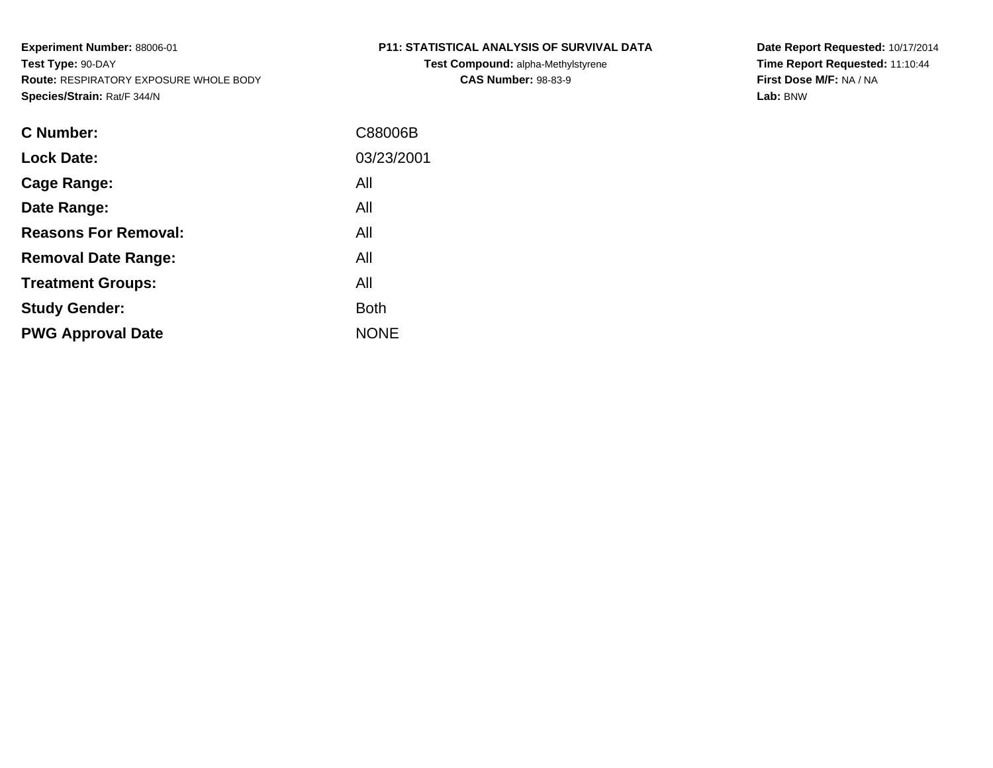**Test Compound:** alpha-Methylstyrene**CAS Number:** 98-83-9

**Date Report Requested:** 10/17/2014 **Time Report Requested:** 11:10:44**First Dose M/F:** NA / NA**Lab:** BNW

| C Number:                   | C88006B     |
|-----------------------------|-------------|
| <b>Lock Date:</b>           | 03/23/2001  |
| Cage Range:                 | All         |
| Date Range:                 | All         |
| <b>Reasons For Removal:</b> | All         |
| <b>Removal Date Range:</b>  | All         |
| <b>Treatment Groups:</b>    | All         |
| <b>Study Gender:</b>        | <b>Both</b> |
| <b>PWG Approval Date</b>    | <b>NONE</b> |
|                             |             |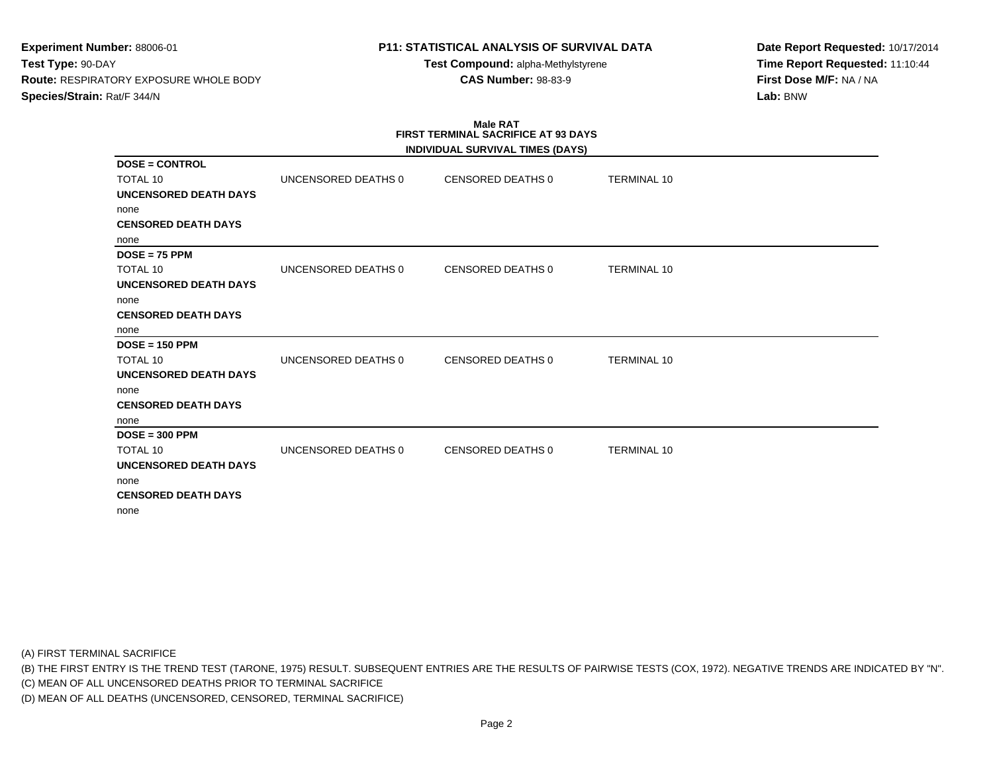# **P11: STATISTICAL ANALYSIS OF SURVIVAL DATA**

**Test Compound:** alpha-Methylstyrene**CAS Number:** 98-83-9

**Date Report Requested:** 10/17/2014**Time Report Requested:** 11:10:44**First Dose M/F:** NA / NA**Lab:** BNW

# **Male RATFIRST TERMINAL SACRIFICE AT 93 DAYS**

|                              |                     | INDIVIDUAL SURVIVAL TIMES (DAYS) |                    |
|------------------------------|---------------------|----------------------------------|--------------------|
| $DOSE = CONTROL$             |                     |                                  |                    |
| <b>TOTAL 10</b>              | UNCENSORED DEATHS 0 | <b>CENSORED DEATHS 0</b>         | <b>TERMINAL 10</b> |
| UNCENSORED DEATH DAYS        |                     |                                  |                    |
| none                         |                     |                                  |                    |
| <b>CENSORED DEATH DAYS</b>   |                     |                                  |                    |
| none                         |                     |                                  |                    |
| $DOSE = 75$ PPM              |                     |                                  |                    |
| <b>TOTAL 10</b>              | UNCENSORED DEATHS 0 | <b>CENSORED DEATHS 0</b>         | <b>TERMINAL 10</b> |
| <b>UNCENSORED DEATH DAYS</b> |                     |                                  |                    |
| none                         |                     |                                  |                    |
| <b>CENSORED DEATH DAYS</b>   |                     |                                  |                    |
| none                         |                     |                                  |                    |
| $DOSE = 150$ PPM             |                     |                                  |                    |
| TOTAL 10                     | UNCENSORED DEATHS 0 | <b>CENSORED DEATHS 0</b>         | <b>TERMINAL 10</b> |
| <b>UNCENSORED DEATH DAYS</b> |                     |                                  |                    |
| none                         |                     |                                  |                    |
| <b>CENSORED DEATH DAYS</b>   |                     |                                  |                    |
| none                         |                     |                                  |                    |
| $DOSE = 300$ PPM             |                     |                                  |                    |
| TOTAL 10                     | UNCENSORED DEATHS 0 | <b>CENSORED DEATHS 0</b>         | <b>TERMINAL 10</b> |
| <b>UNCENSORED DEATH DAYS</b> |                     |                                  |                    |
| none                         |                     |                                  |                    |
| <b>CENSORED DEATH DAYS</b>   |                     |                                  |                    |
| none                         |                     |                                  |                    |

(A) FIRST TERMINAL SACRIFICE

(B) THE FIRST ENTRY IS THE TREND TEST (TARONE, 1975) RESULT. SUBSEQUENT ENTRIES ARE THE RESULTS OF PAIRWISE TESTS (COX, 1972). NEGATIVE TRENDS ARE INDICATED BY "N".

(C) MEAN OF ALL UNCENSORED DEATHS PRIOR TO TERMINAL SACRIFICE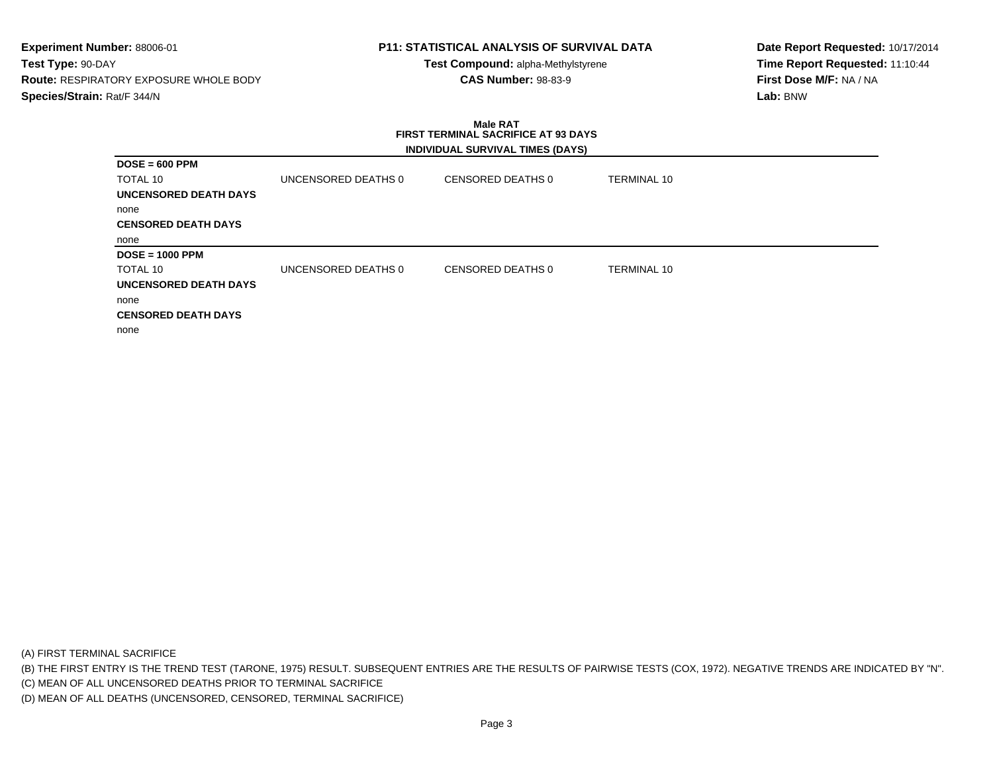# **P11: STATISTICAL ANALYSIS OF SURVIVAL DATA**

**Test Compound:** alpha-Methylstyrene**CAS Number:** 98-83-9

**Date Report Requested:** 10/17/2014**Time Report Requested:** 11:10:44**First Dose M/F:** NA / NA**Lab:** BNW

#### **Male RAT FIRST TERMINAL SACRIFICE AT 93 DAYSINDIVIDUAL SURVIVAL TIMES (DAYS)**

| $DOSE = 600$ PPM           |                     |                   |                    |  |
|----------------------------|---------------------|-------------------|--------------------|--|
| TOTAL 10                   | UNCENSORED DEATHS 0 | CENSORED DEATHS 0 | TERMINAL 10        |  |
| UNCENSORED DEATH DAYS      |                     |                   |                    |  |
| none                       |                     |                   |                    |  |
| <b>CENSORED DEATH DAYS</b> |                     |                   |                    |  |
| none                       |                     |                   |                    |  |
| $DOSE = 1000$ PPM          |                     |                   |                    |  |
| TOTAL 10                   | UNCENSORED DEATHS 0 | CENSORED DEATHS 0 | <b>TERMINAL 10</b> |  |
| UNCENSORED DEATH DAYS      |                     |                   |                    |  |
| none                       |                     |                   |                    |  |
| <b>CENSORED DEATH DAYS</b> |                     |                   |                    |  |
| none                       |                     |                   |                    |  |

(A) FIRST TERMINAL SACRIFICE

(B) THE FIRST ENTRY IS THE TREND TEST (TARONE, 1975) RESULT. SUBSEQUENT ENTRIES ARE THE RESULTS OF PAIRWISE TESTS (COX, 1972). NEGATIVE TRENDS ARE INDICATED BY "N".

(C) MEAN OF ALL UNCENSORED DEATHS PRIOR TO TERMINAL SACRIFICE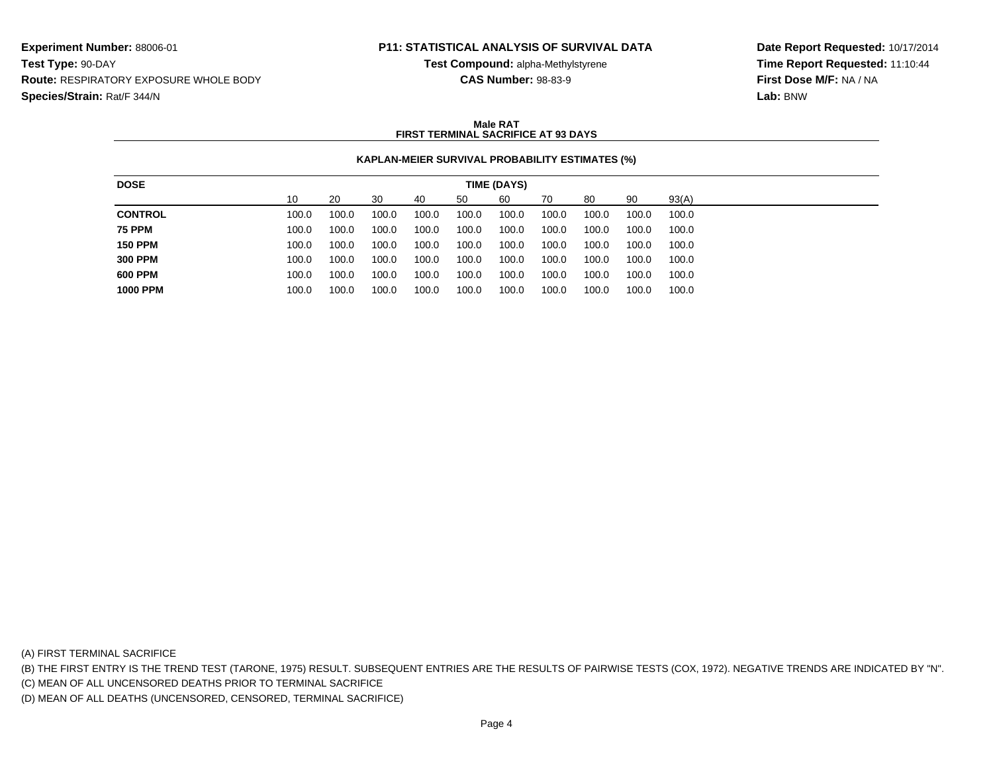# **P11: STATISTICAL ANALYSIS OF SURVIVAL DATA**

**Test Compound:** alpha-Methylstyrene**CAS Number:** 98-83-9

**Date Report Requested:** 10/17/2014**Time Report Requested:** 11:10:44**First Dose M/F:** NA / NA**Lab:** BNW

#### **Male RATFIRST TERMINAL SACRIFICE AT 93 DAYS**

### **KAPLAN-MEIER SURVIVAL PROBABILITY ESTIMATES (%)**

| <b>DOSE</b>     |       |       |       |       |       | TIME (DAYS) |       |       |       |       |
|-----------------|-------|-------|-------|-------|-------|-------------|-------|-------|-------|-------|
|                 | 10    | 20    | 30    | 40    | 50    | 60          | 70    | 80    | 90    | 93(A) |
| <b>CONTROL</b>  | 100.0 | 100.0 | 100.0 | 100.0 | 100.0 | 100.0       | 100.0 | 100.0 | 100.0 | 100.0 |
| <b>75 PPM</b>   | 100.0 | 100.0 | 100.0 | 100.0 | 100.0 | 100.0       | 100.0 | 100.0 | 100.0 | 100.0 |
| <b>150 PPM</b>  | 100.0 | 100.0 | 100.0 | 100.0 | 100.0 | 100.0       | 100.0 | 100.0 | 100.0 | 100.0 |
| <b>300 PPM</b>  | 100.0 | 100.0 | 100.0 | 100.0 | 100.0 | 100.0       | 100.0 | 100.0 | 100.0 | 100.0 |
| <b>600 PPM</b>  | 100.0 | 100.0 | 100.0 | 100.0 | 100.0 | 100.0       | 100.0 | 100.0 | 100.0 | 100.0 |
| <b>1000 PPM</b> | 100.0 | 100.0 | 100.0 | 100.0 | 100.0 | 100.0       | 100.0 | 100.0 | 100.0 | 100.0 |
|                 |       |       |       |       |       |             |       |       |       |       |

(A) FIRST TERMINAL SACRIFICE

(B) THE FIRST ENTRY IS THE TREND TEST (TARONE, 1975) RESULT. SUBSEQUENT ENTRIES ARE THE RESULTS OF PAIRWISE TESTS (COX, 1972). NEGATIVE TRENDS ARE INDICATED BY "N".

(C) MEAN OF ALL UNCENSORED DEATHS PRIOR TO TERMINAL SACRIFICE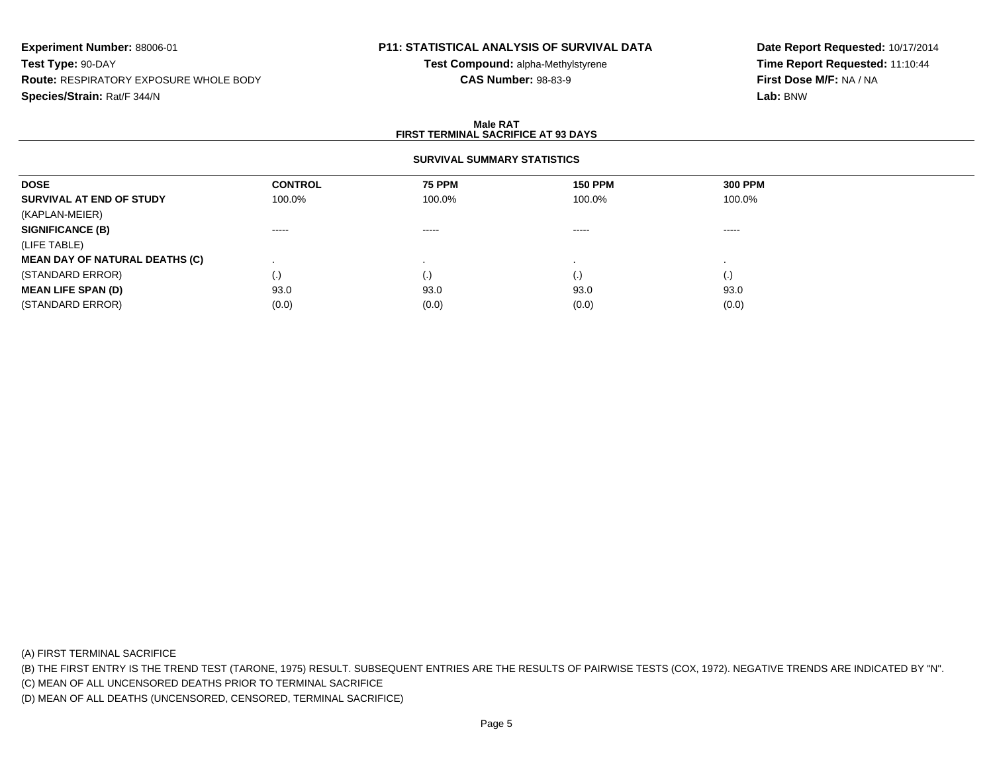# **P11: STATISTICAL ANALYSIS OF SURVIVAL DATA**

**Test Compound:** alpha-Methylstyrene**CAS Number:** 98-83-9

**Date Report Requested:** 10/17/2014**Time Report Requested:** 11:10:44**First Dose M/F:** NA / NA**Lab:** BNW

#### **Male RATFIRST TERMINAL SACRIFICE AT 93 DAYS**

### **SURVIVAL SUMMARY STATISTICS**

| <b>DOSE</b>                           | <b>CONTROL</b>    | <b>75 PPM</b>                                                                                                                                                                                                                                                                                                                                                                                                                                                                          | <b>150 PPM</b>     | <b>300 PPM</b> |  |
|---------------------------------------|-------------------|----------------------------------------------------------------------------------------------------------------------------------------------------------------------------------------------------------------------------------------------------------------------------------------------------------------------------------------------------------------------------------------------------------------------------------------------------------------------------------------|--------------------|----------------|--|
| SURVIVAL AT END OF STUDY              | 100.0%            | 100.0%                                                                                                                                                                                                                                                                                                                                                                                                                                                                                 | 100.0%             | 100.0%         |  |
| (KAPLAN-MEIER)                        |                   |                                                                                                                                                                                                                                                                                                                                                                                                                                                                                        |                    |                |  |
| <b>SIGNIFICANCE (B)</b>               | $- - - - -$       | $\begin{array}{cccccccccccccc} \multicolumn{2}{c}{} & \multicolumn{2}{c}{} & \multicolumn{2}{c}{} & \multicolumn{2}{c}{} & \multicolumn{2}{c}{} & \multicolumn{2}{c}{} & \multicolumn{2}{c}{} & \multicolumn{2}{c}{} & \multicolumn{2}{c}{} & \multicolumn{2}{c}{} & \multicolumn{2}{c}{} & \multicolumn{2}{c}{} & \multicolumn{2}{c}{} & \multicolumn{2}{c}{} & \multicolumn{2}{c}{} & \multicolumn{2}{c}{} & \multicolumn{2}{c}{} & \multicolumn{2}{c}{} & \multicolumn{2}{c}{} & \$ | $\cdots$           | ------         |  |
| (LIFE TABLE)                          |                   |                                                                                                                                                                                                                                                                                                                                                                                                                                                                                        |                    |                |  |
| <b>MEAN DAY OF NATURAL DEATHS (C)</b> |                   |                                                                                                                                                                                                                                                                                                                                                                                                                                                                                        |                    |                |  |
| (STANDARD ERROR)                      | $\left( .\right)$ |                                                                                                                                                                                                                                                                                                                                                                                                                                                                                        | $\left( . \right)$ | (.)            |  |
| <b>MEAN LIFE SPAN (D)</b>             | 93.0              | 93.0                                                                                                                                                                                                                                                                                                                                                                                                                                                                                   | 93.0               | 93.0           |  |
| (STANDARD ERROR)                      | (0.0)             | (0.0)                                                                                                                                                                                                                                                                                                                                                                                                                                                                                  | (0.0)              | (0.0)          |  |

(A) FIRST TERMINAL SACRIFICE

(B) THE FIRST ENTRY IS THE TREND TEST (TARONE, 1975) RESULT. SUBSEQUENT ENTRIES ARE THE RESULTS OF PAIRWISE TESTS (COX, 1972). NEGATIVE TRENDS ARE INDICATED BY "N".

(C) MEAN OF ALL UNCENSORED DEATHS PRIOR TO TERMINAL SACRIFICE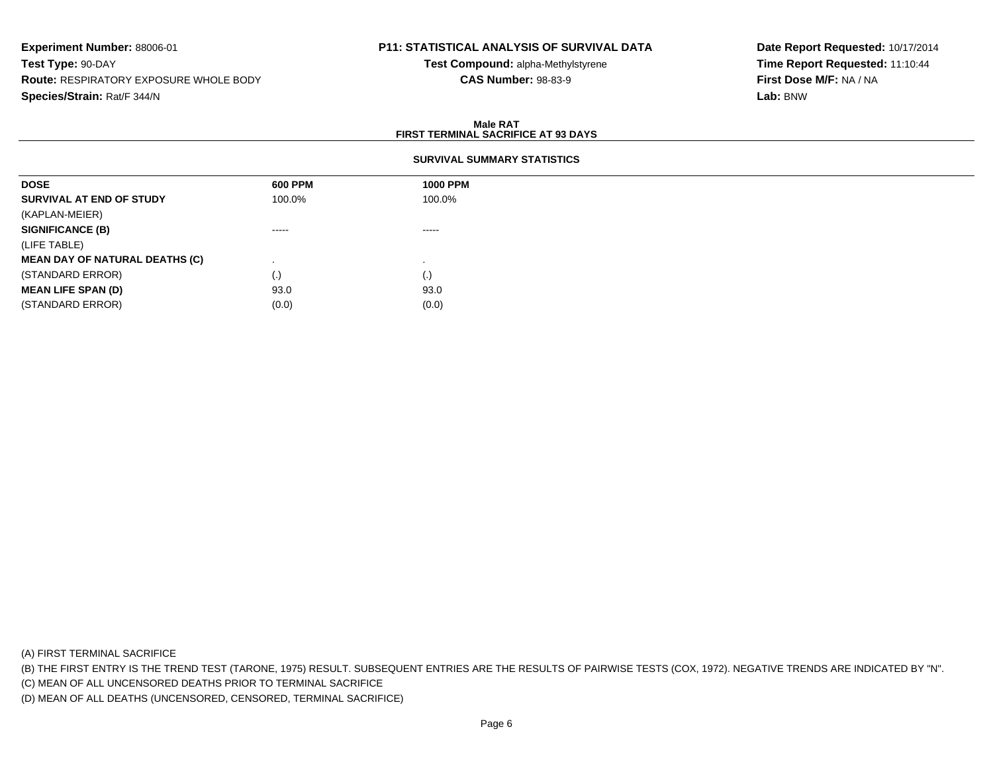# **P11: STATISTICAL ANALYSIS OF SURVIVAL DATA**

**Test Compound:** alpha-Methylstyrene**CAS Number:** 98-83-9

**Date Report Requested:** 10/17/2014**Time Report Requested:** 11:10:44**First Dose M/F:** NA / NA**Lab:** BNW

#### **Male RATFIRST TERMINAL SACRIFICE AT 93 DAYS**

#### **SURVIVAL SUMMARY STATISTICS**

| <b>DOSE</b>                           | 600 PPM     | <b>1000 PPM</b> |
|---------------------------------------|-------------|-----------------|
| SURVIVAL AT END OF STUDY              | 100.0%      | 100.0%          |
| (KAPLAN-MEIER)                        |             |                 |
| <b>SIGNIFICANCE (B)</b>               | $- - - - -$ | $- - - - -$     |
| (LIFE TABLE)                          |             |                 |
| <b>MEAN DAY OF NATURAL DEATHS (C)</b> |             |                 |
| (STANDARD ERROR)                      | $\cdot$     | (.)             |
| <b>MEAN LIFE SPAN (D)</b>             | 93.0        | 93.0            |
| (STANDARD ERROR)                      | (0.0)       | (0.0)           |

(A) FIRST TERMINAL SACRIFICE

(B) THE FIRST ENTRY IS THE TREND TEST (TARONE, 1975) RESULT. SUBSEQUENT ENTRIES ARE THE RESULTS OF PAIRWISE TESTS (COX, 1972). NEGATIVE TRENDS ARE INDICATED BY "N".

(C) MEAN OF ALL UNCENSORED DEATHS PRIOR TO TERMINAL SACRIFICE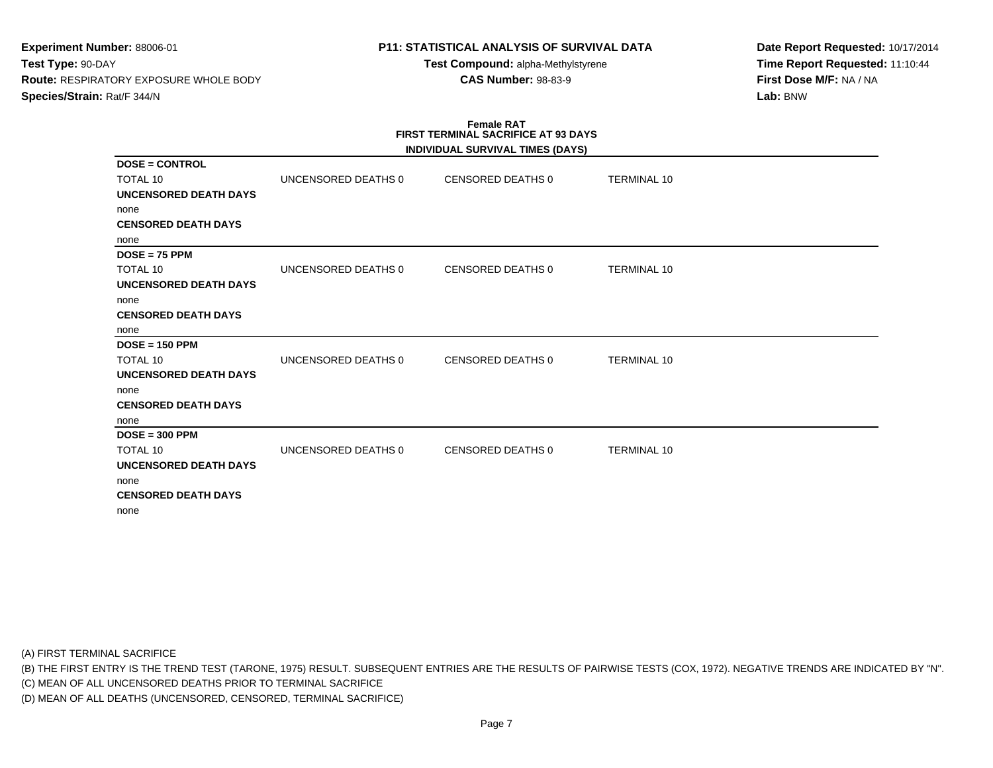# **P11: STATISTICAL ANALYSIS OF SURVIVAL DATA**

**Test Compound:** alpha-Methylstyrene**CAS Number:** 98-83-9

**Date Report Requested:** 10/17/2014**Time Report Requested:** 11:10:44**First Dose M/F:** NA / NA**Lab:** BNW

#### **Female RAT FIRST TERMINAL SACRIFICE AT 93 DAYSINDIVIDUAL SURVIVAL TIMES (DAYS)**

|                              |                     | INDIVIDUAL SURVIVAL TIMES (DATS) |                    |  |
|------------------------------|---------------------|----------------------------------|--------------------|--|
| $DOSE = CONTROL$             |                     |                                  |                    |  |
| <b>TOTAL 10</b>              | UNCENSORED DEATHS 0 | <b>CENSORED DEATHS 0</b>         | <b>TERMINAL 10</b> |  |
| <b>UNCENSORED DEATH DAYS</b> |                     |                                  |                    |  |
| none                         |                     |                                  |                    |  |
| <b>CENSORED DEATH DAYS</b>   |                     |                                  |                    |  |
| none                         |                     |                                  |                    |  |
| $DOSE = 75$ PPM              |                     |                                  |                    |  |
| TOTAL 10                     | UNCENSORED DEATHS 0 | <b>CENSORED DEATHS 0</b>         | <b>TERMINAL 10</b> |  |
| <b>UNCENSORED DEATH DAYS</b> |                     |                                  |                    |  |
| none                         |                     |                                  |                    |  |
| <b>CENSORED DEATH DAYS</b>   |                     |                                  |                    |  |
| none                         |                     |                                  |                    |  |
| $DOSE = 150$ PPM             |                     |                                  |                    |  |
| <b>TOTAL 10</b>              | UNCENSORED DEATHS 0 | <b>CENSORED DEATHS 0</b>         | <b>TERMINAL 10</b> |  |
| <b>UNCENSORED DEATH DAYS</b> |                     |                                  |                    |  |
| none                         |                     |                                  |                    |  |
| <b>CENSORED DEATH DAYS</b>   |                     |                                  |                    |  |
| none                         |                     |                                  |                    |  |
| $DOSE = 300$ PPM             |                     |                                  |                    |  |
| TOTAL 10                     | UNCENSORED DEATHS 0 | <b>CENSORED DEATHS 0</b>         | <b>TERMINAL 10</b> |  |
| UNCENSORED DEATH DAYS        |                     |                                  |                    |  |
| none                         |                     |                                  |                    |  |
| <b>CENSORED DEATH DAYS</b>   |                     |                                  |                    |  |
| none                         |                     |                                  |                    |  |
|                              |                     |                                  |                    |  |

(A) FIRST TERMINAL SACRIFICE

(B) THE FIRST ENTRY IS THE TREND TEST (TARONE, 1975) RESULT. SUBSEQUENT ENTRIES ARE THE RESULTS OF PAIRWISE TESTS (COX, 1972). NEGATIVE TRENDS ARE INDICATED BY "N".

(C) MEAN OF ALL UNCENSORED DEATHS PRIOR TO TERMINAL SACRIFICE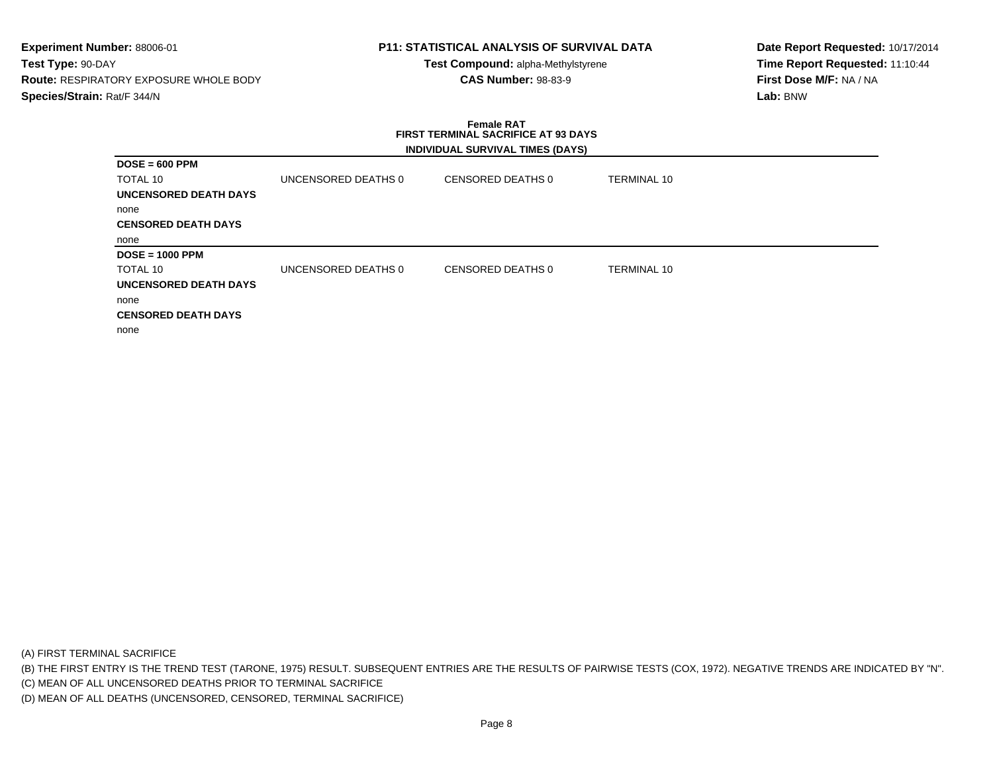# **P11: STATISTICAL ANALYSIS OF SURVIVAL DATA**

**Test Compound:** alpha-Methylstyrene**CAS Number:** 98-83-9

**Date Report Requested:** 10/17/2014**Time Report Requested:** 11:10:44**First Dose M/F:** NA / NA**Lab:** BNW

### **Female RAT FIRST TERMINAL SACRIFICE AT 93 DAYSINDIVIDUAL SURVIVAL TIMES (DAYS)**

| $DOSE = 600$ PPM           |                     |                   |                    |  |
|----------------------------|---------------------|-------------------|--------------------|--|
| TOTAL 10                   | UNCENSORED DEATHS 0 | CENSORED DEATHS 0 | <b>TERMINAL 10</b> |  |
| UNCENSORED DEATH DAYS      |                     |                   |                    |  |
| none                       |                     |                   |                    |  |
| <b>CENSORED DEATH DAYS</b> |                     |                   |                    |  |
| none                       |                     |                   |                    |  |
| $DOSE = 1000$ PPM          |                     |                   |                    |  |
| TOTAL 10                   | UNCENSORED DEATHS 0 | CENSORED DEATHS 0 | <b>TERMINAL 10</b> |  |
| UNCENSORED DEATH DAYS      |                     |                   |                    |  |
| none                       |                     |                   |                    |  |
| <b>CENSORED DEATH DAYS</b> |                     |                   |                    |  |
| none                       |                     |                   |                    |  |

(A) FIRST TERMINAL SACRIFICE

(B) THE FIRST ENTRY IS THE TREND TEST (TARONE, 1975) RESULT. SUBSEQUENT ENTRIES ARE THE RESULTS OF PAIRWISE TESTS (COX, 1972). NEGATIVE TRENDS ARE INDICATED BY "N".

(C) MEAN OF ALL UNCENSORED DEATHS PRIOR TO TERMINAL SACRIFICE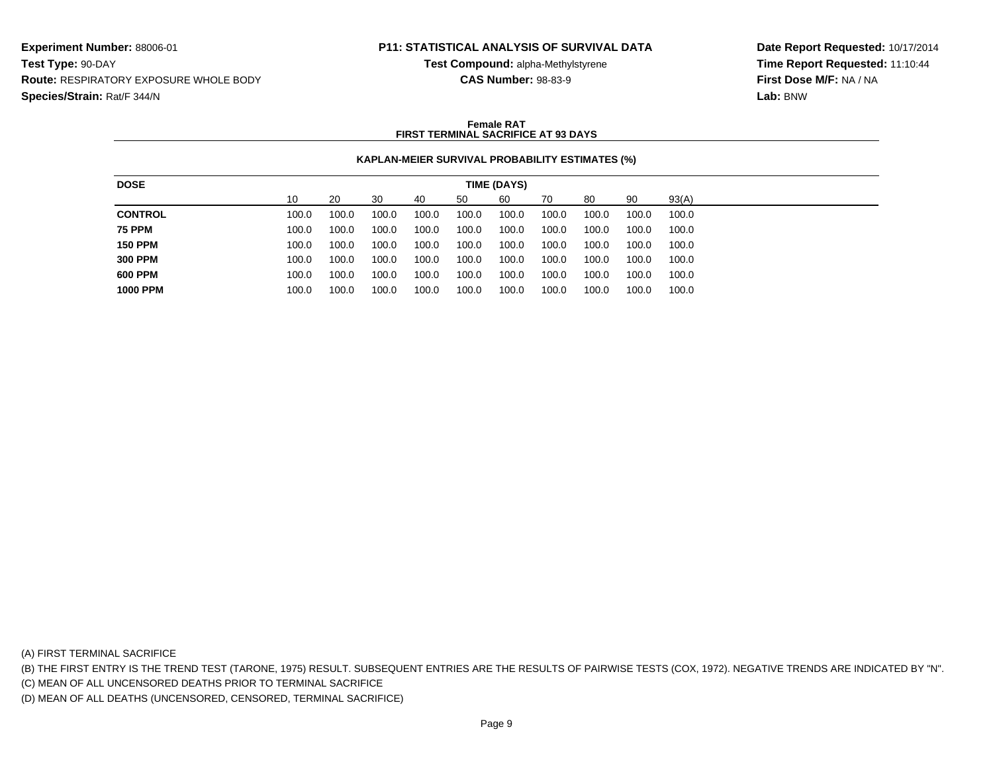## **P11: STATISTICAL ANALYSIS OF SURVIVAL DATA**

**Test Compound:** alpha-Methylstyrene**CAS Number:** 98-83-9

**Date Report Requested:** 10/17/2014**Time Report Requested:** 11:10:44**First Dose M/F:** NA / NA**Lab:** BNW

#### **Female RATFIRST TERMINAL SACRIFICE AT 93 DAYS**

### **KAPLAN-MEIER SURVIVAL PROBABILITY ESTIMATES (%)**

| <b>DOSE</b>     |       |       |       |       |       | TIME (DAYS) |       |       |       |       |
|-----------------|-------|-------|-------|-------|-------|-------------|-------|-------|-------|-------|
|                 | 10    | 20    | 30    | 40    | 50    | 60          | 70    | 80    | 90    | 93(A) |
| <b>CONTROL</b>  | 100.0 | 100.0 | 100.0 | 100.0 | 100.0 | 100.0       | 100.0 | 100.0 | 100.0 | 100.0 |
| <b>75 PPM</b>   | 100.0 | 100.0 | 100.0 | 100.0 | 100.0 | 100.0       | 100.0 | 100.0 | 100.0 | 100.0 |
| <b>150 PPM</b>  | 100.0 | 100.0 | 100.0 | 100.0 | 100.0 | 100.0       | 100.0 | 100.0 | 100.0 | 100.0 |
| <b>300 PPM</b>  | 100.0 | 100.0 | 100.0 | 100.0 | 100.0 | 100.0       | 100.0 | 100.0 | 100.0 | 100.0 |
| 600 PPM         | 100.0 | 100.0 | 100.0 | 100.0 | 100.0 | 100.0       | 100.0 | 100.0 | 100.0 | 100.0 |
| <b>1000 PPM</b> | 100.0 | 100.0 | 100.0 | 100.0 | 100.0 | 100.0       | 100.0 | 100.0 | 100.0 | 100.0 |
|                 |       |       |       |       |       |             |       |       |       |       |

(A) FIRST TERMINAL SACRIFICE

(B) THE FIRST ENTRY IS THE TREND TEST (TARONE, 1975) RESULT. SUBSEQUENT ENTRIES ARE THE RESULTS OF PAIRWISE TESTS (COX, 1972). NEGATIVE TRENDS ARE INDICATED BY "N".

(C) MEAN OF ALL UNCENSORED DEATHS PRIOR TO TERMINAL SACRIFICE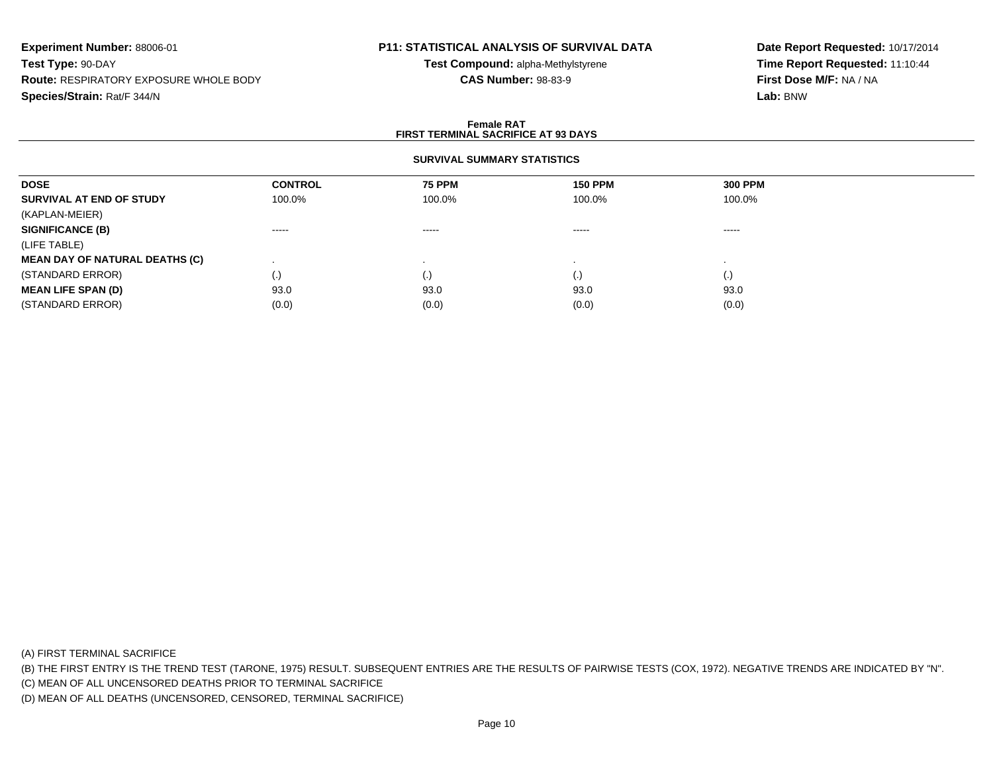# **P11: STATISTICAL ANALYSIS OF SURVIVAL DATA**

**Test Compound:** alpha-Methylstyrene**CAS Number:** 98-83-9

**Date Report Requested:** 10/17/2014**Time Report Requested:** 11:10:44**First Dose M/F:** NA / NA**Lab:** BNW

#### **Female RATFIRST TERMINAL SACRIFICE AT 93 DAYS**

### **SURVIVAL SUMMARY STATISTICS**

| <b>DOSE</b>                           | <b>CONTROL</b> | <b>75 PPM</b>      | <b>150 PPM</b> | <b>300 PPM</b> |  |
|---------------------------------------|----------------|--------------------|----------------|----------------|--|
| SURVIVAL AT END OF STUDY              | 100.0%         | 100.0%             | 100.0%         | 100.0%         |  |
| (KAPLAN-MEIER)                        |                |                    |                |                |  |
| <b>SIGNIFICANCE (B)</b>               | $\cdots$       | -----              | ------         | ------         |  |
| (LIFE TABLE)                          |                |                    |                |                |  |
| <b>MEAN DAY OF NATURAL DEATHS (C)</b> |                |                    |                |                |  |
| (STANDARD ERROR)                      | (.)            | $\left( . \right)$ | (.)            | (.)            |  |
| <b>MEAN LIFE SPAN (D)</b>             | 93.0           | 93.0               | 93.0           | 93.0           |  |
| (STANDARD ERROR)                      | (0.0)          | (0.0)              | (0.0)          | (0.0)          |  |

(A) FIRST TERMINAL SACRIFICE

(B) THE FIRST ENTRY IS THE TREND TEST (TARONE, 1975) RESULT. SUBSEQUENT ENTRIES ARE THE RESULTS OF PAIRWISE TESTS (COX, 1972). NEGATIVE TRENDS ARE INDICATED BY "N".

(C) MEAN OF ALL UNCENSORED DEATHS PRIOR TO TERMINAL SACRIFICE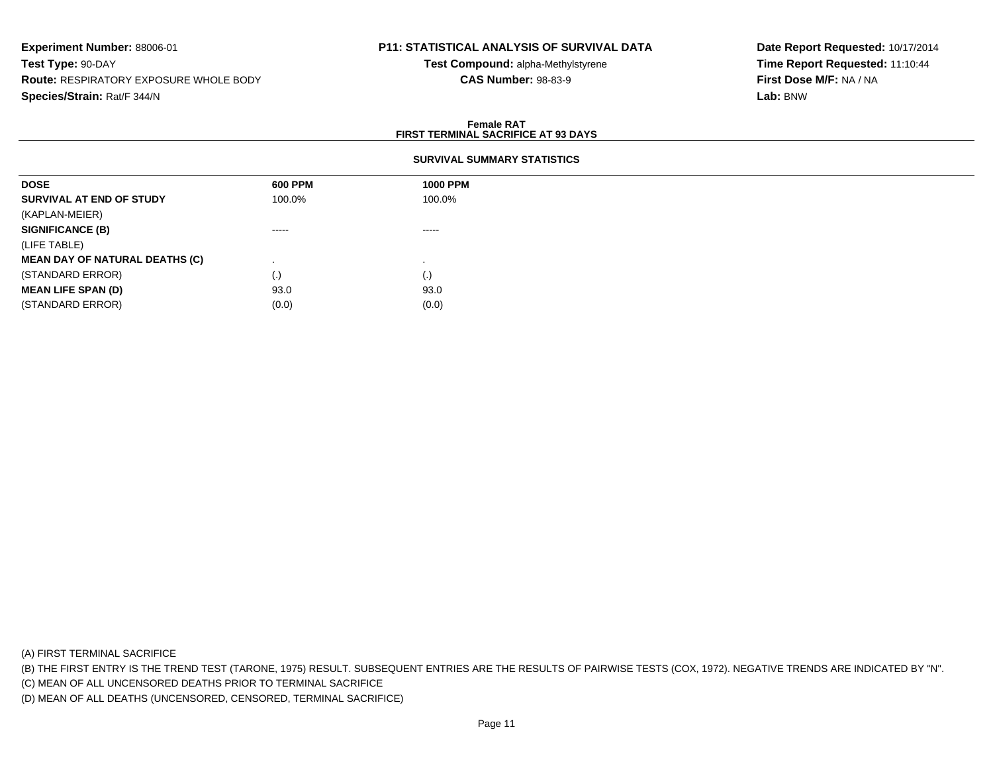# **P11: STATISTICAL ANALYSIS OF SURVIVAL DATA**

**Test Compound:** alpha-Methylstyrene**CAS Number:** 98-83-9

**Date Report Requested:** 10/17/2014**Time Report Requested:** 11:10:44**First Dose M/F:** NA / NA**Lab:** BNW

#### **Female RATFIRST TERMINAL SACRIFICE AT 93 DAYS**

#### **SURVIVAL SUMMARY STATISTICS**

| <b>DOSE</b>                           | 600 PPM  | <b>1000 PPM</b> |
|---------------------------------------|----------|-----------------|
| SURVIVAL AT END OF STUDY              | 100.0%   | 100.0%          |
| (KAPLAN-MEIER)                        |          |                 |
| <b>SIGNIFICANCE (B)</b>               | $\cdots$ | -----           |
| (LIFE TABLE)                          |          |                 |
| <b>MEAN DAY OF NATURAL DEATHS (C)</b> |          |                 |
| (STANDARD ERROR)                      | $\cdot$  | (.)             |
| <b>MEAN LIFE SPAN (D)</b>             | 93.0     | 93.0            |
| (STANDARD ERROR)                      | (0.0)    | (0.0)           |

(A) FIRST TERMINAL SACRIFICE

(B) THE FIRST ENTRY IS THE TREND TEST (TARONE, 1975) RESULT. SUBSEQUENT ENTRIES ARE THE RESULTS OF PAIRWISE TESTS (COX, 1972). NEGATIVE TRENDS ARE INDICATED BY "N".

(C) MEAN OF ALL UNCENSORED DEATHS PRIOR TO TERMINAL SACRIFICE